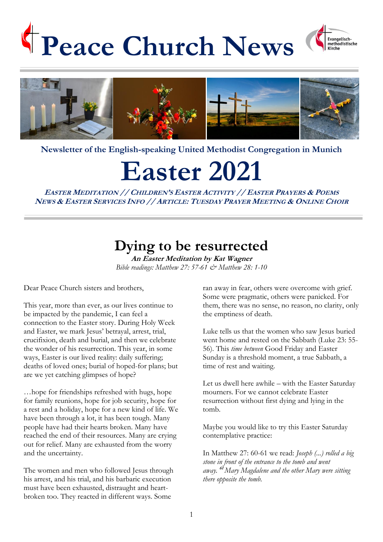# Peace Church News





**Newsletter of the English-speaking United Methodist Congregation in Munich**

## **Easter 2021**

**EASTER MEDITATION // CHILDREN'S EASTER ACTIVITY // EASTER PRAYERS & POEMS** NEWS & EASTER SERVICES INFO // ARTICLE: TUESDAY PRAYER MEETING & ONLINE CHOIR

## **Dying to be resurrected**

**An Easter Meditation by Kat Wagner** *Bible readings: Matthew 27: 57-61 & Matthew 28: 1-10*

Dear Peace Church sisters and brothers,

This year, more than ever, as our lives continue to be impacted by the pandemic, I can feel a connection to the Easter story. During Holy Week and Easter, we mark Jesus' betrayal, arrest, trial, crucifixion, death and burial, and then we celebrate the wonder of his resurrection. This year, in some ways, Easter is our lived reality: daily suffering; deaths of loved ones; burial of hoped-for plans; but are we yet catching glimpses of hope?

…hope for friendships refreshed with hugs, hope for family reunions, hope for job security, hope for a rest and a holiday, hope for a new kind of life. We have been through a lot, it has been tough. Many people have had their hearts broken. Many have reached the end of their resources. Many are crying out for relief. Many are exhausted from the worry and the uncertainty.

The women and men who followed Jesus through his arrest, and his trial, and his barbaric execution must have been exhausted, distraught and heartbroken too. They reacted in different ways. Some

ran away in fear, others were overcome with grief. Some were pragmatic, others were panicked. For them, there was no sense, no reason, no clarity, only the emptiness of death.

Luke tells us that the women who saw Jesus buried went home and rested on the Sabbath (Luke 23: 55- 56). This *time between* Good Friday and Easter Sunday is a threshold moment, a true Sabbath, a time of rest and waiting.

Let us dwell here awhile – with the Easter Saturday mourners. For we cannot celebrate Easter resurrection without first dying and lying in the tomb.

Maybe you would like to try this Easter Saturday contemplative practice:

In Matthew 27: 60-61 we read: *Joseph (...) rolled a big stone in front of the entrance to the tomb and went away.* **<sup>61</sup>** *Mary Magdalene and the other Mary were sitting there opposite the tomb.*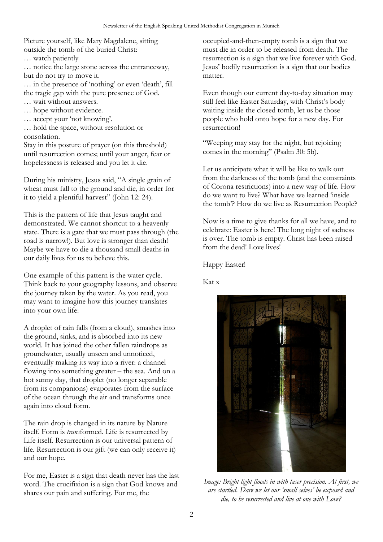Picture yourself, like Mary Magdalene, sitting outside the tomb of the buried Christ:

… watch patiently

… notice the large stone across the entranceway, but do not try to move it.

… in the presence of 'nothing' or even 'death', fill the tragic gap with the pure presence of God.

- … wait without answers.
- … hope without evidence.
- … accept your 'not knowing'.

… hold the space, without resolution or consolation.

Stay in this posture of prayer (on this threshold) until resurrection comes; until your anger, fear or hopelessness is released and you let it die.

During his ministry, Jesus said, "A single grain of wheat must fall to the ground and die, in order for it to yield a plentiful harvest" (John 12: 24).

This is the pattern of life that Jesus taught and demonstrated. We cannot shortcut to a heavenly state. There is a gate that we must pass through (the road is narrow!). But love is stronger than death! Maybe we have to die a thousand small deaths in our daily lives for us to believe this.

One example of this pattern is the water cycle. Think back to your geography lessons, and observe the journey taken by the water. As you read, you may want to imagine how this journey translates into your own life:

A droplet of rain falls (from a cloud), smashes into the ground, sinks, and is absorbed into its new world. It has joined the other fallen raindrops as groundwater, usually unseen and unnoticed, eventually making its way into a river: a channel flowing into something greater – the sea. And on a hot sunny day, that droplet (no longer separable from its companions) evaporates from the surface of the ocean through the air and transforms once again into cloud form.

The rain drop is changed in its nature by Nature itself. Form is *trans*formed. Life is resurrected by Life itself. Resurrection is our universal pattern of life. Resurrection is our gift (we can only receive it) and our hope.

For me, Easter is a sign that death never has the last word. The crucifixion is a sign that God knows and shares our pain and suffering. For me, the

occupied-and-then-empty tomb is a sign that we must die in order to be released from death. The resurrection is a sign that we live forever with God. Jesus' bodily resurrection is a sign that our bodies matter.

Even though our current day-to-day situation may still feel like Easter Saturday, with Christ's body waiting inside the closed tomb, let us be those people who hold onto hope for a new day. For resurrection!

"Weeping may stay for the night, but rejoicing comes in the morning" (Psalm 30: 5b).

Let us anticipate what it will be like to walk out from the darkness of the tomb (and the constraints of Corona restrictions) into a new way of life. How do we want to live? What have we learned 'inside the tomb'? How do we live as Resurrection People?

Now is a time to give thanks for all we have, and to celebrate: Easter is here! The long night of sadness is over. The tomb is empty. Christ has been raised from the dead! Love lives!

Happy Easter!

Kat x



*Image: Bright light floods in with laser precision. At first, we are startled. Dare we let our 'small selves' be exposed and die, to be resurrected and live at one with Love?*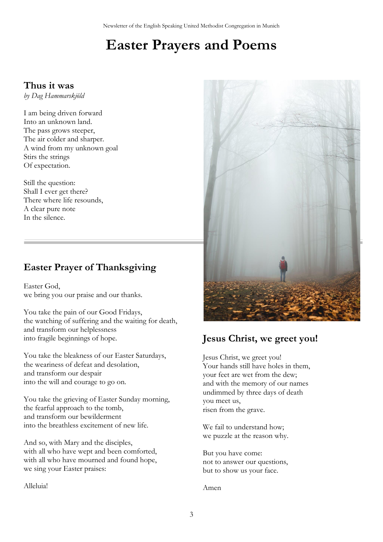## **Easter Prayers and Poems**

#### **Thus it was**

*by Dag Hammarskjöld*

I am being driven forward Into an unknown land. The pass grows steeper, The air colder and sharper. A wind from my unknown goal Stirs the strings Of expectation.

Still the question: Shall I ever get there? There where life resounds, A clear pure note In the silence.

#### **Easter Prayer of Thanksgiving**

Easter God, we bring you our praise and our thanks.

You take the pain of our Good Fridays, the watching of suffering and the waiting for death, and transform our helplessness into fragile beginnings of hope.

You take the bleakness of our Easter Saturdays, the weariness of defeat and desolation, and transform our despair into the will and courage to go on.

You take the grieving of Easter Sunday morning, the fearful approach to the tomb, and transform our bewilderment into the breathless excitement of new life.

And so, with Mary and the disciples, with all who have wept and been comforted, with all who have mourned and found hope, we sing your Easter praises:

Alleluia!



## **Jesus Christ, we greet you!**

Jesus Christ, we greet you! Your hands still have holes in them, your feet are wet from the dew; and with the memory of our names undimmed by three days of death you meet us, risen from the grave.

We fail to understand how; we puzzle at the reason why.

But you have come: not to answer our questions, but to show us your face.

Amen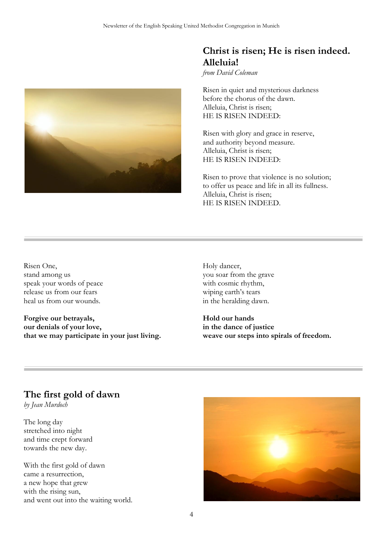

## **Christ is risen; He is risen indeed. Alleluia!**

*from David Coleman*

Risen in quiet and mysterious darkness before the chorus of the dawn. Alleluia, Christ is risen; HE IS RISEN INDEED:

Risen with glory and grace in reserve, and authority beyond measure. Alleluia, Christ is risen; HE IS RISEN INDEED:

Risen to prove that violence is no solution; to offer us peace and life in all its fullness. Alleluia, Christ is risen; HE IS RISEN INDEED.

Risen One, stand among us speak your words of peace release us from our fears heal us from our wounds.

**Forgive our betrayals, our denials of your love, that we may participate in your just living.** Holy dancer, you soar from the grave with cosmic rhythm, wiping earth's tears in the heralding dawn.

**Hold our hands in the dance of justice weave our steps into spirals of freedom.**

#### **The first gold of dawn**

*by Jean Murdoch*

The long day stretched into night and time crept forward towards the new day.

With the first gold of dawn came a resurrection, a new hope that grew with the rising sun, and went out into the waiting world.

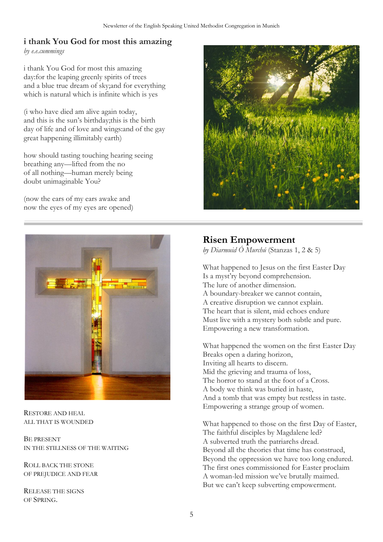## **i thank You God for most this amazing**

*by e.e.cummings*

i thank You God for most this amazing day:for the leaping greenly spirits of trees and a blue true dream of sky;and for everything which is natural which is infinite which is yes

(i who have died am alive again today, and this is the sun's birthday;this is the birth day of life and of love and wings:and of the gay great happening illimitably earth)

how should tasting touching hearing seeing breathing any—lifted from the no of all nothing—human merely being doubt unimaginable You?

(now the ears of my ears awake and now the eyes of my eyes are opened)



RESTORE AND HEAL ALL THAT IS WOUNDED

BE PRESENT IN THE STILLNESS OF THE WAITING

ROLL BACK THE STONE OF PREJUDICE AND FEAR

RELEASE THE SIGNS OF SPRING.



#### **Risen Empowerment**

*by Diarmuid Ó Murchú* (Stanzas 1, 2 & 5)

What happened to Jesus on the first Easter Day Is a myst'ry beyond comprehension. The lure of another dimension. A boundary-breaker we cannot contain, A creative disruption we cannot explain. The heart that is silent, mid echoes endure Must live with a mystery both subtle and pure. Empowering a new transformation.

What happened the women on the first Easter Day Breaks open a daring horizon, Inviting all hearts to discern. Mid the grieving and trauma of loss, The horror to stand at the foot of a Cross. A body we think was buried in haste, And a tomb that was empty but restless in taste. Empowering a strange group of women.

What happened to those on the first Day of Easter, The faithful disciples by Magdalene led? A subverted truth the patriarchs dread. Beyond all the theories that time has construed, Beyond the oppression we have too long endured. The first ones commissioned for Easter proclaim A woman-led mission we've brutally maimed. But we can't keep subverting empowerment.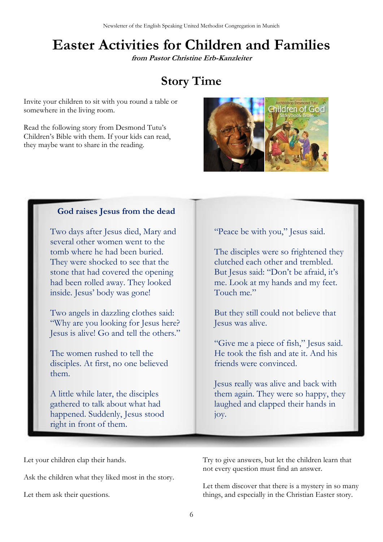## **Easter Activities for Children and Families**

**from Pastor Christine Erb-Kanzleiter**

## **Story Time**

Invite your children to sit with you round a table or somewhere in the living room.

Read the following story from Desmond Tutu's Children's Bible with them. If your kids can read, they maybe want to share in the reading.



#### **God raises Jesus from the dead**

Two days after Jesus died, Mary and several other women went to the tomb where he had been buried. They were shocked to see that the stone that had covered the opening had been rolled away. They looked inside. Jesus' body was gone!

Two angels in dazzling clothes said: "Why are you looking for Jesus here? Jesus is alive! Go and tell the others."

The women rushed to tell the disciples. At first, no one believed them.

A little while later, the disciples gathered to talk about what had happened. Suddenly, Jesus stood right in front of them.

"Peace be with you," Jesus said.

The disciples were so frightened they clutched each other and trembled. But Jesus said: "Don't be afraid, it's me. Look at my hands and my feet. Touch me."

But they still could not believe that Jesus was alive.

"Give me a piece of fish," Jesus said. He took the fish and ate it. And his friends were convinced.

Jesus really was alive and back with them again. They were so happy, they laughed and clapped their hands in joy.

Let your children clap their hands.

Ask the children what they liked most in the story.

Let them ask their questions.

Try to give answers, but let the children learn that not every question must find an answer.

Let them discover that there is a mystery in so many things, and especially in the Christian Easter story.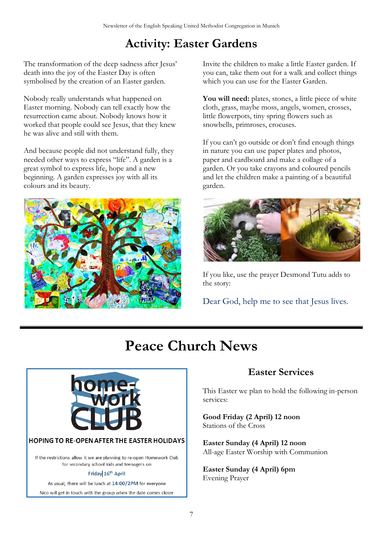## **Activity: Easter Gardens**

The transformation of the deep sadness after Jesus' death into the joy of the Easter Day is often symbolised by the creation of an Easter garden.

Nobody really understands what happened on Easter morning. Nobody can tell exactly how the resurrection came about. Nobody knows how it worked that people could see Jesus, that they knew he was alive and still with them.

And because people did not understand fully, they needed other ways to express "life". A garden is a great symbol to express life, hope and a new beginning. A garden expresses joy with all its colours and its beauty.



Invite the children to make a little Easter garden. If you can, take them out for a walk and collect things which you can use for the Easter Garden.

You will need: plates, stones, a little piece of white cloth, grass, maybe moss, angels, women, crosses, little flowerpots, tiny spring flowers such as snowbells, primroses, crocuses.

If you can't go outside or don't find enough things in nature you can use paper plates and photos, paper and cardboard and make a collage of a garden. Or you take crayons and coloured pencils and let the children make a painting of a beautiful garden.



If you like, use the prayer Desmond Tutu adds to the story:

Dear God, help me to see that Jesus lives.

## **Peace Church News**



#### **Easter Services**

This Easter we plan to hold the following in-person services:

**Good Friday (2 April) 12 noon** Stations of the Cross

**Easter Sunday (4 April) 12 noon** All-age Easter Worship with Communion

**Easter Sunday (4 April) 6pm** Evening Prayer